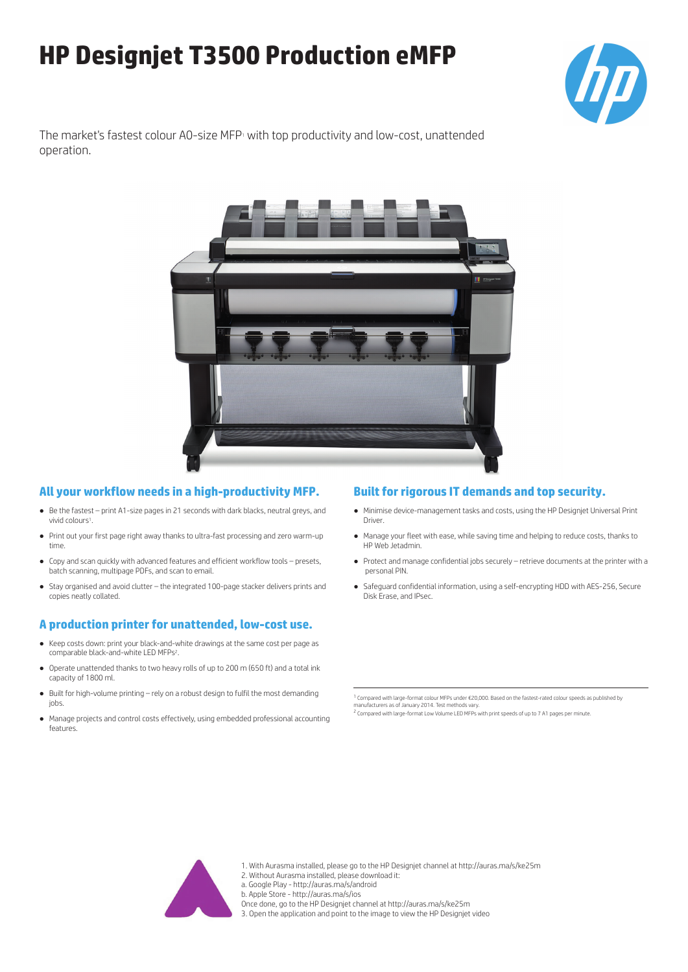# **HP Designjet T3500 Production eMFP**



The market's fastest colour A0-size MFP<sub>1</sub> with top productivity and low-cost, unattended operation.



# **All your workflow needs in a high-productivity MFP.**

- Be the fastest print A1-size pages in 21 seconds with dark blacks, neutral greys, and vivid colours<sup>1</sup>.
- Print out your first page right away thanks to ultra-fast processing and zero warm-up time.
- Copy and scan quickly with advanced features and efficient workflow tools presets, batch scanning, multipage PDFs, and scan to email.
- Stay organised and avoid clutter the integrated 100-page stacker delivers prints and copies neatly collated.

## **A production printer for unattended, low-cost use.**

- Keep costs down: print your black-and-white drawings at the same cost per page as comparable black-and-white LED MFPs<sup>2</sup>.
- Operate unattended thanks to two heavy rolls of up to 200 m (650 ft) and a total ink capacity of 1800 ml.
- Built for high-volume printing rely on a robust design to fulfil the most demanding iobs
- Manage projects and control costs effectively, using embedded professional accounting features.

# **Built for rigorous IT demands and top security.**

- Minimise device-management tasks and costs, using the HP Designjet Universal Print Driver.
- Manage your fleet with ease, while saving time and helping to reduce costs, thanks to HP Web Jetadmin.
- Protect and manage confidential jobs securely retrieve documents at the printer with a personal PIN.
- Safeguard confidential information, using a self-encrypting HDD with AES-256, Secure Disk Erase, and IPsec.

1 Compared with large-format colour MFPs under €20,000. Based on the fastest-rated colour speeds as published by manufacturers as of January 2014. Test methods vary.

<sup>2</sup> Compared with large-format Low Volume LED MFPs with print speeds of up to 7 A1 pages per minute.



- 1. With Aurasma installed, please go to the HP Designjet channel at http://auras.ma/s/ke25m
- 2. Without Aurasma installed, please download it:

a. Google Play - http://auras.ma/s/android

- b. Apple Store http://auras.ma/s/ios
- Once done, go to the HP Designjet channel at http://auras.ma/s/ke25m
- 3. Open the application and point to the image to view the HP Designjet video